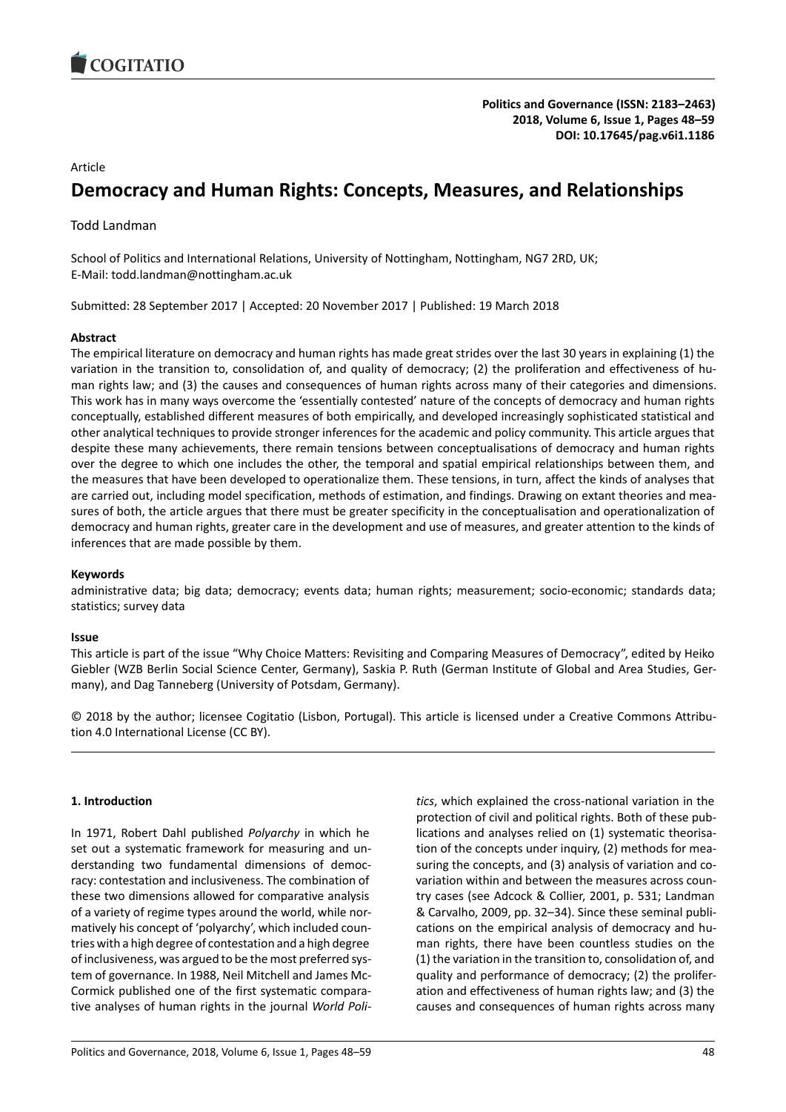

# Article

# **Democracy and Human Rights: Concepts, Measures, and Relationships**

Todd Landman

School of Politics and International Relations, University of Nottingham, Nottingham, NG7 2RD, UK; E-Mail: todd.landman@nottingham.ac.uk

Submitted: 28 September 2017 | Accepted: 20 November 2017 | Published: 19 March 2018

# **Abstract**

The empirical literature on democracy and human rights has made great strides over the last 30 years in explaining (1) the variation in the transition to, consolidation of, and quality of democracy; (2) the proliferation and effectiveness of human rights law; and (3) the causes and consequences of human rights across many of their categories and dimensions. This work has in many ways overcome the 'essentially contested' nature of the concepts of democracy and human rights conceptually, established different measures of both empirically, and developed increasingly sophisticated statistical and other analytical techniques to provide stronger inferences for the academic and policy community. This article argues that despite these many achievements, there remain tensions between conceptualisations of democracy and human rights over the degree to which one includes the other, the temporal and spatial empirical relationships between them, and the measures that have been developed to operationalize them. These tensions, in turn, affect the kinds of analyses that are carried out, including model specification, methods of estimation, and findings. Drawing on extant theories and measures of both, the article argues that there must be greater specificity in the conceptualisation and operationalization of democracy and human rights, greater care in the development and use of measures, and greater attention to the kinds of inferences that are made possible by them.

# **Keywords**

administrative data; big data; democracy; events data; human rights; measurement; socio-economic; standards data; statistics; survey data

# **Issue**

This article is part of the issue "Why Choice Matters: Revisiting and Comparing Measures of Democracy", edited by Heiko Giebler (WZB Berlin Social Science Center, Germany), Saskia P. Ruth (German Institute of Global and Area Studies, Germany), and Dag Tanneberg (University of Potsdam, Germany).

© 2018 by the author; licensee Cogitatio (Lisbon, Portugal). This article is licensed under a Creative Commons Attribution 4.0 International License (CC BY).

# **1. Introduction**

In 1971, Robert Dahl published *Polyarchy* in which he set out a systematic framework for measuring and understanding two fundamental dimensions of democracy: contestation and inclusiveness. The combination of these two dimensions allowed for comparative analysis of a variety of regime types around the world, while normatively his concept of 'polyarchy', which included countries with a high degree of contestation and a high degree of inclusiveness, was argued to be the most preferred system of governance. In 1988, Neil Mitchell and James Mc-Cormick published one of the first systematic comparative analyses of human rights in the journal *World Poli-* *tics*, which explained the cross-national variation in the protection of civil and political rights. Both of these publications and analyses relied on (1) systematic theorisation of the concepts under inquiry, (2) methods for measuring the concepts, and (3) analysis of variation and covariation within and between the measures across country cases (see Adcock & Collier, 2001, p. 531; Landman & Carvalho, 2009, pp. 32–34). Since these seminal publications on the empirical analysis of democracy and human rights, there have been countless studies on the (1) the variation in the transition to, consolidation of, and quality and performance of democracy; (2) the proliferation and effectiveness of human rights law; and (3) the causes and consequences of human rights across many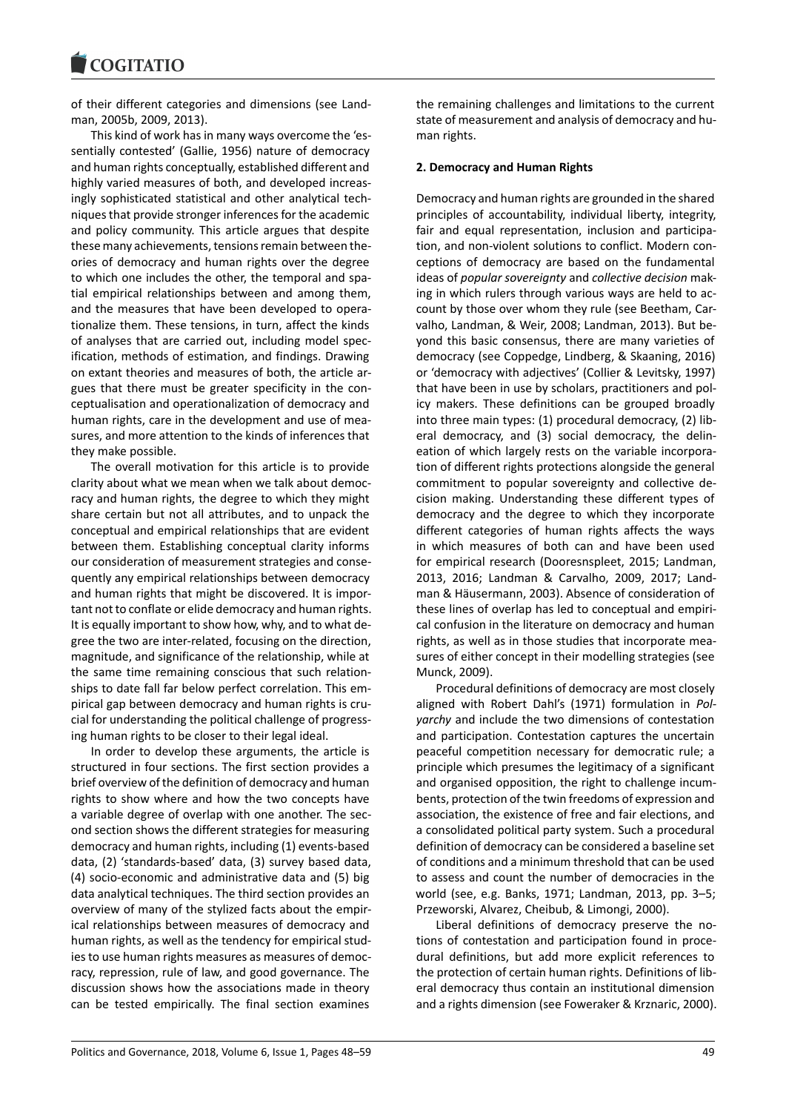#### COQUIATIO

of their different categories and dimensions (see Landman, 2005b, 2009, 2013).

This kind of work has in many ways overcome the 'essentially contested' (Gallie, 1956) nature of democracy and human rights conceptually, established different and highly varied measures of both, and developed increasingly sophisticated statistical and other analytical techniques that provide stronger inferences for the academic and policy community. This article argues that despite these many achievements, tensions remain between theories of democracy and human rights over the degree to which one includes the other, the temporal and spatial empirical relationships between and among them, and the measures that have been developed to operationalize them. These tensions, in turn, affect the kinds of analyses that are carried out, including model specification, methods of estimation, and findings. Drawing on extant theories and measures of both, the article argues that there must be greater specificity in the conceptualisation and operationalization of democracy and human rights, care in the development and use of measures, and more attention to the kinds of inferences that they make possible.

The overall motivation for this article is to provide clarity about what we mean when we talk about democracy and human rights, the degree to which they might share certain but not all attributes, and to unpack the conceptual and empirical relationships that are evident between them. Establishing conceptual clarity informs our consideration of measurement strategies and consequently any empirical relationships between democracy and human rights that might be discovered. It is important not to conflate or elide democracy and human rights. It is equally important to show how, why, and to what degree the two are inter-related, focusing on the direction, magnitude, and significance of the relationship, while at the same time remaining conscious that such relationships to date fall far below perfect correlation. This empirical gap between democracy and human rights is crucial for understanding the political challenge of progressing human rights to be closer to their legal ideal.

In order to develop these arguments, the article is structured in four sections. The first section provides a brief overview of the definition of democracy and human rights to show where and how the two concepts have a variable degree of overlap with one another. The second section shows the different strategies for measuring democracy and human rights, including (1) events-based data, (2) 'standards-based' data, (3) survey based data, (4) socio-economic and administrative data and (5) big data analytical techniques. The third section provides an overview of many of the stylized facts about the empirical relationships between measures of democracy and human rights, as well as the tendency for empirical studies to use human rights measures as measures of democracy, repression, rule of law, and good governance. The discussion shows how the associations made in theory can be tested empirically. The final section examines

the remaining challenges and limitations to the current state of measurement and analysis of democracy and human rights.

### **2. Democracy and Human Rights**

Democracy and human rights are grounded in the shared principles of accountability, individual liberty, integrity, fair and equal representation, inclusion and participation, and non-violent solutions to conflict. Modern conceptions of democracy are based on the fundamental ideas of *popular sovereignty* and *collective decision* making in which rulers through various ways are held to account by those over whom they rule (see Beetham, Carvalho, Landman, & Weir, 2008; Landman, 2013). But beyond this basic consensus, there are many varieties of democracy (see Coppedge, Lindberg, & Skaaning, 2016) or 'democracy with adjectives' (Collier & Levitsky, 1997) that have been in use by scholars, practitioners and policy makers. These definitions can be grouped broadly into three main types: (1) procedural democracy, (2) liberal democracy, and (3) social democracy, the delineation of which largely rests on the variable incorporation of different rights protections alongside the general commitment to popular sovereignty and collective decision making. Understanding these different types of democracy and the degree to which they incorporate different categories of human rights affects the ways in which measures of both can and have been used for empirical research (Dooresnspleet, 2015; Landman, 2013, 2016; Landman & Carvalho, 2009, 2017; Landman & Häusermann, 2003). Absence of consideration of these lines of overlap has led to conceptual and empirical confusion in the literature on democracy and human rights, as well as in those studies that incorporate measures of either concept in their modelling strategies (see Munck, 2009).

Procedural definitions of democracy are most closely aligned with Robert Dahl's (1971) formulation in *Polyarchy* and include the two dimensions of contestation and participation. Contestation captures the uncertain peaceful competition necessary for democratic rule; a principle which presumes the legitimacy of a significant and organised opposition, the right to challenge incumbents, protection of the twin freedoms of expression and association, the existence of free and fair elections, and a consolidated political party system. Such a procedural definition of democracy can be considered a baseline set of conditions and a minimum threshold that can be used to assess and count the number of democracies in the world (see, e.g. Banks, 1971; Landman, 2013, pp. 3–5; Przeworski, Alvarez, Cheibub, & Limongi, 2000).

Liberal definitions of democracy preserve the notions of contestation and participation found in procedural definitions, but add more explicit references to the protection of certain human rights. Definitions of liberal democracy thus contain an institutional dimension and a rights dimension (see Foweraker & Krznaric, 2000).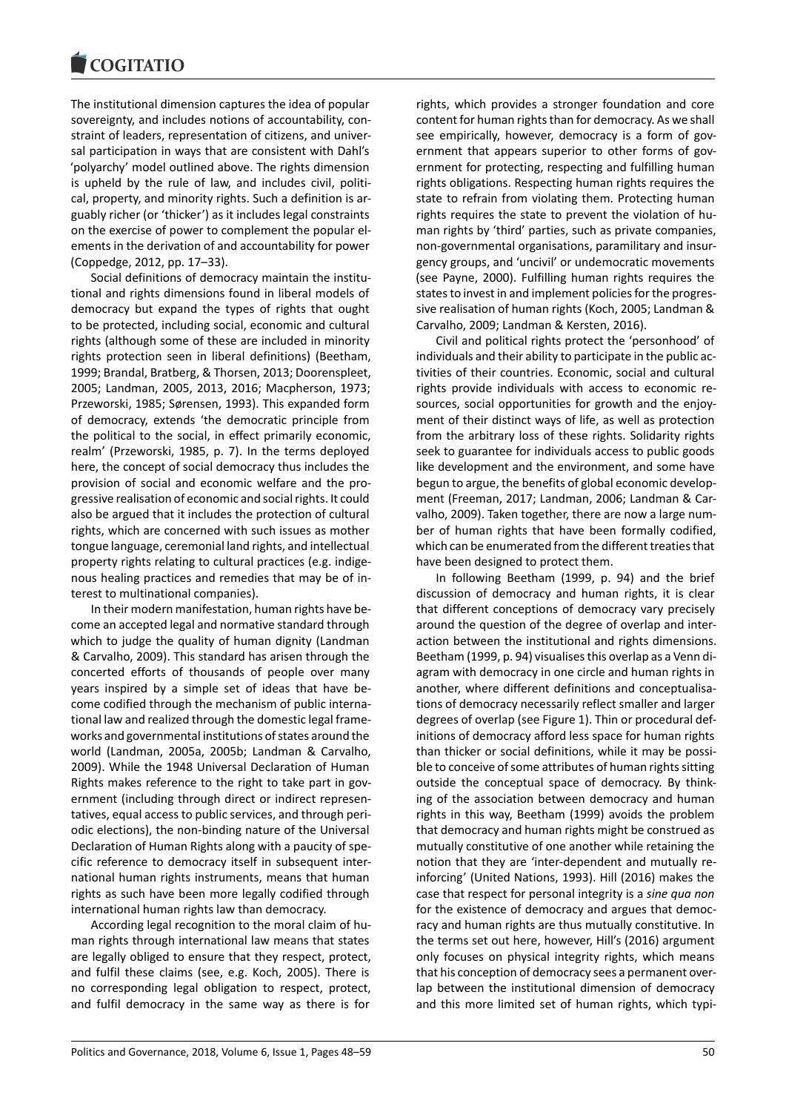#### COQUIATIO

The institutional dimension captures the idea of popular sovereignty, and includes notions of accountability, constraint of leaders, representation of citizens, and universal participation in ways that are consistent with Dahl's 'polyarchy' model outlined above. The rights dimension is upheld by the rule of law, and includes civil, political, property, and minority rights. Such a definition is arguably richer (or 'thicker') as it includes legal constraints on the exercise of power to complement the popular elements in the derivation of and accountability for power (Coppedge, 2012, pp. 17–33).

Social definitions of democracy maintain the institutional and rights dimensions found in liberal models of democracy but expand the types of rights that ought to be protected, including social, economic and cultural rights (although some of these are included in minority rights protection seen in liberal definitions) (Beetham, 1999; Brandal, Bratberg, & Thorsen, 2013; Doorenspleet, 2005; Landman, 2005, 2013, 2016; Macpherson, 1973; Przeworski, 1985; Sørensen, 1993). This expanded form of democracy, extends 'the democratic principle from the political to the social, in effect primarily economic, realm' (Przeworski, 1985, p. 7). In the terms deployed here, the concept of social democracy thus includes the provision of social and economic welfare and the progressive realisation of economic and social rights. It could also be argued that it includes the protection of cultural rights, which are concerned with such issues as mother tongue language, ceremonial land rights, and intellectual property rights relating to cultural practices (e.g. indigenous healing practices and remedies that may be of interest to multinational companies).

In their modern manifestation, human rights have become an accepted legal and normative standard through which to judge the quality of human dignity (Landman & Carvalho, 2009). This standard has arisen through the concerted efforts of thousands of people over many years inspired by a simple set of ideas that have become codified through the mechanism of public international law and realized through the domestic legal frameworks and governmental institutions of states around the world (Landman, 2005a, 2005b; Landman & Carvalho, 2009). While the 1948 Universal Declaration of Human Rights makes reference to the right to take part in government (including through direct or indirect representatives, equal access to public services, and through periodic elections), the non-binding nature of the Universal Declaration of Human Rights along with a paucity of specific reference to democracy itself in subsequent international human rights instruments, means that human rights as such have been more legally codified through international human rights law than democracy.

According legal recognition to the moral claim of human rights through international law means that states are legally obliged to ensure that they respect, protect, and fulfil these claims (see, e.g. Koch, 2005). There is no corresponding legal obligation to respect, protect, and fulfil democracy in the same way as there is for

rights, which provides a stronger foundation and core content for human rights than for democracy. As we shall see empirically, however, democracy is a form of government that appears superior to other forms of government for protecting, respecting and fulfilling human rights obligations. Respecting human rights requires the state to refrain from violating them. Protecting human rights requires the state to prevent the violation of human rights by 'third' parties, such as private companies, non-governmental organisations, paramilitary and insurgency groups, and 'uncivil' or undemocratic movements (see Payne, 2000). Fulfilling human rights requires the states to invest in and implement policies for the progressive realisation of human rights (Koch, 2005; Landman & Carvalho, 2009; Landman & Kersten, 2016).

Civil and political rights protect the 'personhood' of individuals and their ability to participate in the public activities of their countries. Economic, social and cultural rights provide individuals with access to economic resources, social opportunities for growth and the enjoyment of their distinct ways of life, as well as protection from the arbitrary loss of these rights. Solidarity rights seek to guarantee for individuals access to public goods like development and the environment, and some have begun to argue, the benefits of global economic development (Freeman, 2017; Landman, 2006; Landman & Carvalho, 2009). Taken together, there are now a large number of human rights that have been formally codified, which can be enumerated from the different treaties that have been designed to protect them.

In following Beetham (1999, p. 94) and the brief discussion of democracy and human rights, it is clear that different conceptions of democracy vary precisely around the question of the degree of overlap and interaction between the institutional and rights dimensions. Beetham (1999, p. 94) visualises this overlap as a Venn diagram with democracy in one circle and human rights in another, where different definitions and conceptualisations of democracy necessarily reflect smaller and larger degrees of overlap (see Figure 1). Thin or procedural definitions of democracy afford less space for human rights than thicker or social definitions, while it may be possible to conceive of some attributes of human rights sitting outside the conceptual space of democracy. By thinking of the association between democracy and human rights in this way, Beetham (1999) avoids the problem that democracy and human rights might be construed as mutually constitutive of one another while retaining the notion that they are 'inter-dependent and mutually reinforcing' (United Nations, 1993). Hill (2016) makes the case that respect for personal integrity is a *sine qua non* for the existence of democracy and argues that democracy and human rights are thus mutually constitutive. In the terms set out here, however, Hill's (2016) argument only focuses on physical integrity rights, which means that his conception of democracy sees a permanent overlap between the institutional dimension of democracy and this more limited set of human rights, which typi-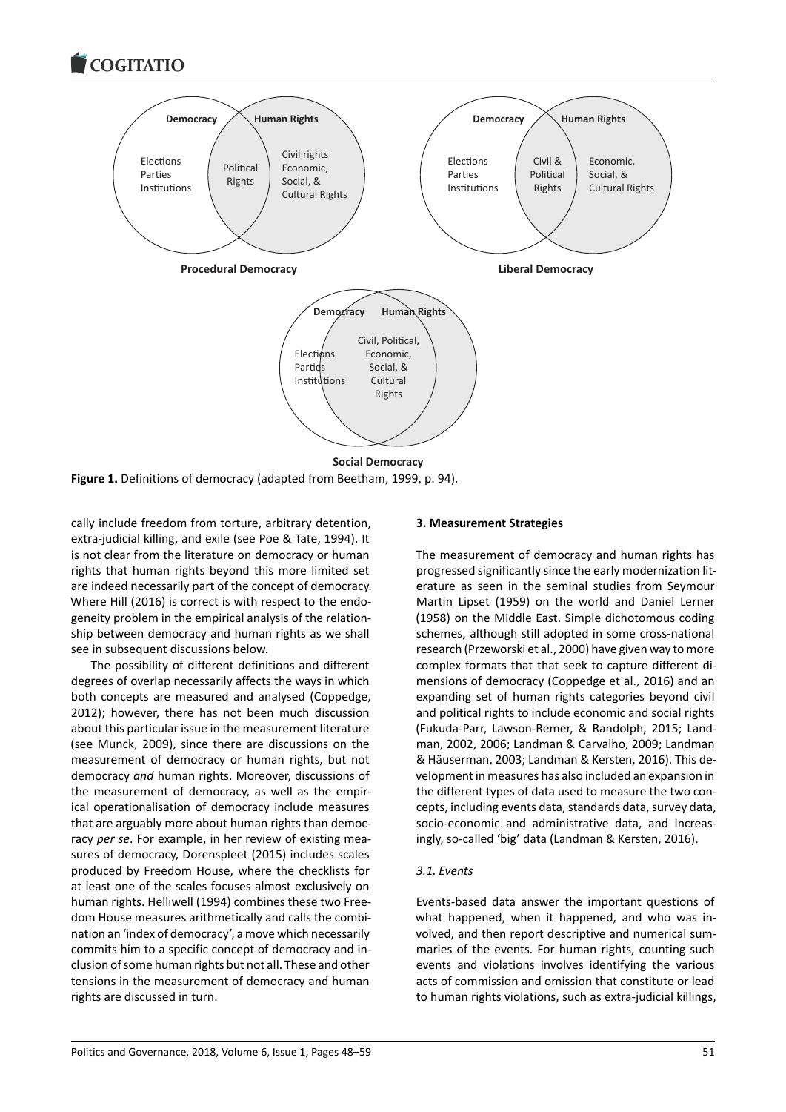

**Figure 1.** Definitions of democracy (adapted from Beetham, 1999, p. 94).

cally include freedom from torture, arbitrary detention, extra-judicial killing, and exile (see Poe & Tate, 1994). It is not clear from the literature on democracy or human rights that human rights beyond this more limited set are indeed necessarily part of the concept of democracy. Where Hill (2016) is correct is with respect to the endogeneity problem in the empirical analysis of the relationship between democracy and human rights as we shall see in subsequent discussions below.

The possibility of different definitions and different degrees of overlap necessarily affects the ways in which both concepts are measured and analysed (Coppedge, 2012); however, there has not been much discussion about this particular issue in the measurement literature (see Munck, 2009), since there are discussions on the measurement of democracy or human rights, but not democracy *and* human rights. Moreover, discussions of the measurement of democracy, as well as the empirical operationalisation of democracy include measures that are arguably more about human rights than democracy *per se*. For example, in her review of existing measures of democracy, Dorenspleet (2015) includes scales produced by Freedom House, where the checklists for at least one of the scales focuses almost exclusively on human rights. Helliwell (1994) combines these two Freedom House measures arithmetically and calls the combination an 'index of democracy', a move which necessarily commits him to a specific concept of democracy and inclusion of some human rights but not all. These and other tensions in the measurement of democracy and human rights are discussed in turn.

### **3. Measurement Strategies**

The measurement of democracy and human rights has progressed significantly since the early modernization literature as seen in the seminal studies from Seymour Martin Lipset (1959) on the world and Daniel Lerner (1958) on the Middle East. Simple dichotomous coding schemes, although still adopted in some cross-national research (Przeworski et al., 2000) have given way to more complex formats that that seek to capture different dimensions of democracy (Coppedge et al., 2016) and an expanding set of human rights categories beyond civil and political rights to include economic and social rights (Fukuda-Parr, Lawson-Remer, & Randolph, 2015; Landman, 2002, 2006; Landman & Carvalho, 2009; Landman & Häuserman, 2003; Landman & Kersten, 2016). This development in measures has also included an expansion in the different types of data used to measure the two concepts, including events data, standards data, survey data, socio-economic and administrative data, and increasingly, so-called 'big' data (Landman & Kersten, 2016).

### *3.1. Events*

Events-based data answer the important questions of what happened, when it happened, and who was involved, and then report descriptive and numerical summaries of the events. For human rights, counting such events and violations involves identifying the various acts of commission and omission that constitute or lead to human rights violations, such as extra-judicial killings,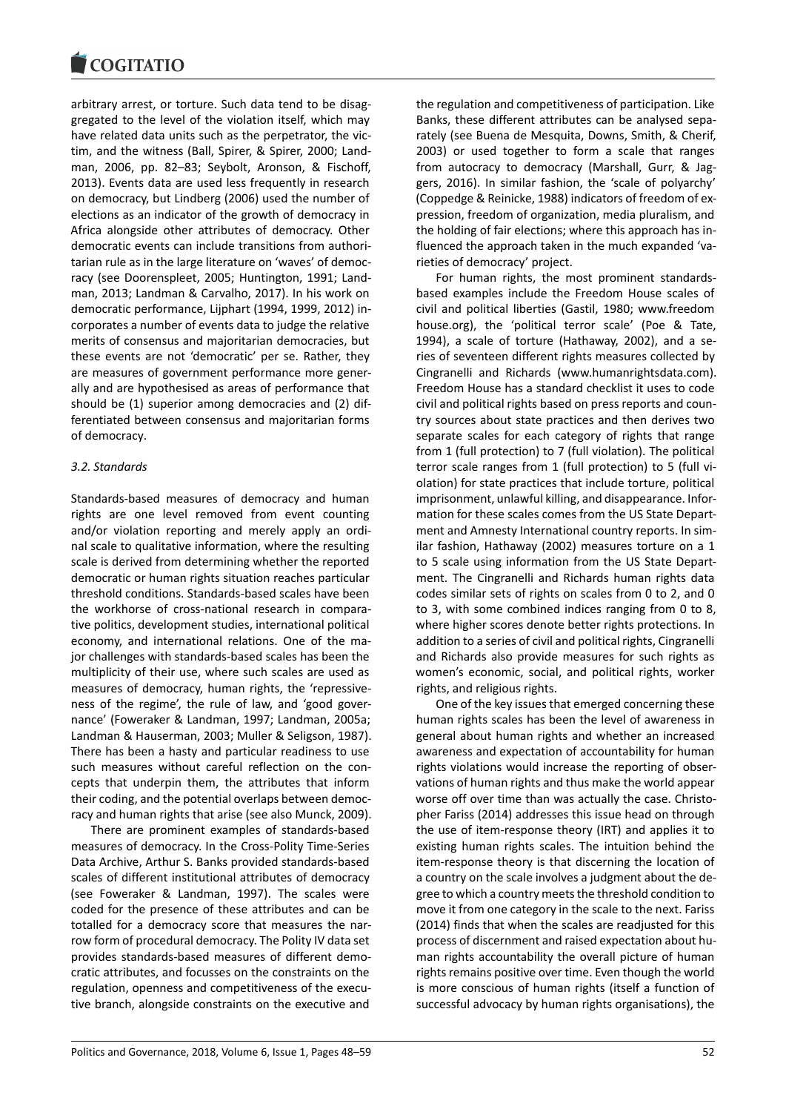arbitrary arrest, or torture. Such data tend to be disaggregated to the level of the violation itself, which may have related data units such as the perpetrator, the victim, and the witness (Ball, Spirer, & Spirer, 2000; Landman, 2006, pp. 82–83; Seybolt, Aronson, & Fischoff, 2013). Events data are used less frequently in research on democracy, but Lindberg (2006) used the number of elections as an indicator of the growth of democracy in Africa alongside other attributes of democracy. Other democratic events can include transitions from authoritarian rule as in the large literature on 'waves' of democracy (see Doorenspleet, 2005; Huntington, 1991; Landman, 2013; Landman & Carvalho, 2017). In his work on democratic performance, Lijphart (1994, 1999, 2012) incorporates a number of events data to judge the relative merits of consensus and majoritarian democracies, but these events are not 'democratic' per se. Rather, they are measures of government performance more generally and are hypothesised as areas of performance that should be (1) superior among democracies and (2) differentiated between consensus and majoritarian forms of democracy.

# *3.2. Standards*

Standards-based measures of democracy and human rights are one level removed from event counting and/or violation reporting and merely apply an ordinal scale to qualitative information, where the resulting scale is derived from determining whether the reported democratic or human rights situation reaches particular threshold conditions. Standards-based scales have been the workhorse of cross-national research in comparative politics, development studies, international political economy, and international relations. One of the major challenges with standards-based scales has been the multiplicity of their use, where such scales are used as measures of democracy, human rights, the 'repressiveness of the regime', the rule of law, and 'good governance' (Foweraker & Landman, 1997; Landman, 2005a; Landman & Hauserman, 2003; Muller & Seligson, 1987). There has been a hasty and particular readiness to use such measures without careful reflection on the concepts that underpin them, the attributes that inform their coding, and the potential overlaps between democracy and human rights that arise (see also Munck, 2009).

There are prominent examples of standards-based measures of democracy. In the Cross-Polity Time-Series Data Archive, Arthur S. Banks provided standards-based scales of different institutional attributes of democracy (see Foweraker & Landman, 1997). The scales were coded for the presence of these attributes and can be totalled for a democracy score that measures the narrow form of procedural democracy. The Polity IV data set provides standards-based measures of different democratic attributes, and focusses on the constraints on the regulation, openness and competitiveness of the executive branch, alongside constraints on the executive and the regulation and competitiveness of participation. Like Banks, these different attributes can be analysed separately (see Buena de Mesquita, Downs, Smith, & Cherif, 2003) or used together to form a scale that ranges from autocracy to democracy (Marshall, Gurr, & Jaggers, 2016). In similar fashion, the 'scale of polyarchy' (Coppedge & Reinicke, 1988) indicators of freedom of expression, freedom of organization, media pluralism, and the holding of fair elections; where this approach has influenced the approach taken in the much expanded 'varieties of democracy' project.

For human rights, the most prominent standardsbased examples include the Freedom House scales of civil and political liberties (Gastil, 1980; www.freedom house.org), the 'political terror scale' (Poe & Tate, 1994), a scale of torture (Hathaway, 2002), and a series of seventeen different rights measures collected by Cingranelli and Richards (www.humanrightsdata.com). Freedom House has a standard checklist it uses to code civil and political rights based on press reports and country sources about state practices and then derives two separate scales for each category of rights that range from 1 (full protection) to 7 (full violation). The political terror scale ranges from 1 (full protection) to 5 (full violation) for state practices that include torture, political imprisonment, unlawful killing, and disappearance. Information for these scales comes from the US State Department and Amnesty International country reports. In similar fashion, Hathaway (2002) measures torture on a 1 to 5 scale using information from the US State Department. The Cingranelli and Richards human rights data codes similar sets of rights on scales from 0 to 2, and 0 to 3, with some combined indices ranging from 0 to 8, where higher scores denote better rights protections. In addition to a series of civil and political rights, Cingranelli and Richards also provide measures for such rights as women's economic, social, and political rights, worker rights, and religious rights.

One of the key issues that emerged concerning these human rights scales has been the level of awareness in general about human rights and whether an increased awareness and expectation of accountability for human rights violations would increase the reporting of observations of human rights and thus make the world appear worse off over time than was actually the case. Christopher Fariss (2014) addresses this issue head on through the use of item-response theory (IRT) and applies it to existing human rights scales. The intuition behind the item-response theory is that discerning the location of a country on the scale involves a judgment about the degree to which a country meets the threshold condition to move it from one category in the scale to the next. Fariss (2014) finds that when the scales are readjusted for this process of discernment and raised expectation about human rights accountability the overall picture of human rights remains positive over time. Even though the world is more conscious of human rights (itself a function of successful advocacy by human rights organisations), the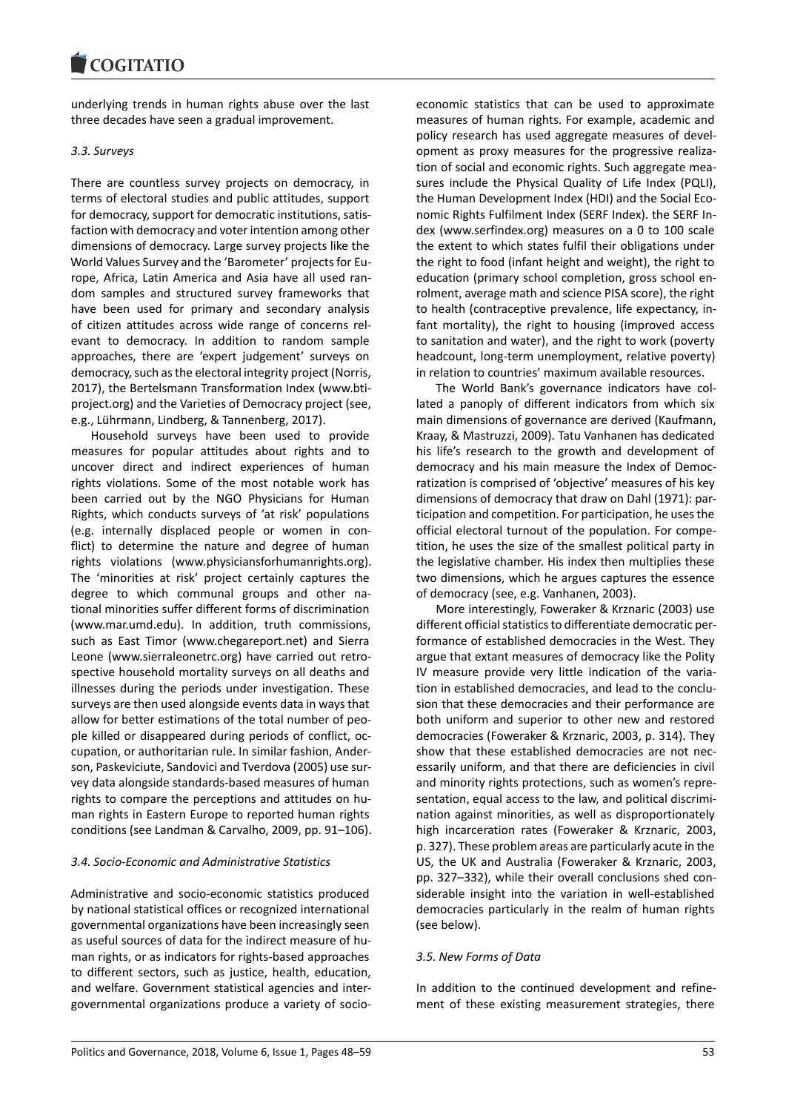underlying trends in human rights abuse over the last three decades have seen a gradual improvement.

# *3.3. Surveys*

There are countless survey projects on democracy, in terms of electoral studies and public attitudes, support for democracy, support for democratic institutions, satisfaction with democracy and voter intention among other dimensions of democracy. Large survey projects like the World Values Survey and the 'Barometer' projects for Europe, Africa, Latin America and Asia have all used random samples and structured survey frameworks that have been used for primary and secondary analysis of citizen attitudes across wide range of concerns relevant to democracy. In addition to random sample approaches, there are 'expert judgement' surveys on democracy, such as the electoral integrity project (Norris, 2017), the Bertelsmann Transformation Index (www.btiproject.org) and the Varieties of Democracy project (see, e.g., Lührmann, Lindberg, & Tannenberg, 2017).

Household surveys have been used to provide measures for popular attitudes about rights and to uncover direct and indirect experiences of human rights violations. Some of the most notable work has been carried out by the NGO Physicians for Human Rights, which conducts surveys of 'at risk' populations (e.g. internally displaced people or women in conflict) to determine the nature and degree of human rights violations (www.physiciansforhumanrights.org). The 'minorities at risk' project certainly captures the degree to which communal groups and other national minorities suffer different forms of discrimination (www.mar.umd.edu). In addition, truth commissions, such as East Timor (www.chegareport.net) and Sierra Leone (www.sierraleonetrc.org) have carried out retrospective household mortality surveys on all deaths and illnesses during the periods under investigation. These surveys are then used alongside events data in ways that allow for better estimations of the total number of people killed or disappeared during periods of conflict, occupation, or authoritarian rule. In similar fashion, Anderson, Paskeviciute, Sandovici and Tverdova (2005) use survey data alongside standards-based measures of human rights to compare the perceptions and attitudes on human rights in Eastern Europe to reported human rights conditions (see Landman & Carvalho, 2009, pp. 91–106).

# *3.4. Socio-Economic and Administrative Statistics*

Administrative and socio-economic statistics produced by national statistical offices or recognized international governmental organizations have been increasingly seen as useful sources of data for the indirect measure of human rights, or as indicators for rights-based approaches to different sectors, such as justice, health, education, and welfare. Government statistical agencies and intergovernmental organizations produce a variety of socio-

economic statistics that can be used to approximate measures of human rights. For example, academic and policy research has used aggregate measures of development as proxy measures for the progressive realization of social and economic rights. Such aggregate measures include the Physical Quality of Life Index (PQLI), the Human Development Index (HDI) and the Social Economic Rights Fulfilment Index (SERF Index). the SERF Index (www.serfindex.org) measures on a 0 to 100 scale the extent to which states fulfil their obligations under the right to food (infant height and weight), the right to education (primary school completion, gross school enrolment, average math and science PISA score), the right to health (contraceptive prevalence, life expectancy, infant mortality), the right to housing (improved access to sanitation and water), and the right to work (poverty headcount, long-term unemployment, relative poverty) in relation to countries' maximum available resources.

The World Bank's governance indicators have collated a panoply of different indicators from which six main dimensions of governance are derived (Kaufmann, Kraay, & Mastruzzi, 2009). Tatu Vanhanen has dedicated his life's research to the growth and development of democracy and his main measure the Index of Democratization is comprised of 'objective' measures of his key dimensions of democracy that draw on Dahl (1971): participation and competition. For participation, he uses the official electoral turnout of the population. For competition, he uses the size of the smallest political party in the legislative chamber. His index then multiplies these two dimensions, which he argues captures the essence of democracy (see, e.g. Vanhanen, 2003).

More interestingly, Foweraker & Krznaric (2003) use different official statistics to differentiate democratic performance of established democracies in the West. They argue that extant measures of democracy like the Polity IV measure provide very little indication of the variation in established democracies, and lead to the conclusion that these democracies and their performance are both uniform and superior to other new and restored democracies (Foweraker & Krznaric, 2003, p. 314). They show that these established democracies are not necessarily uniform, and that there are deficiencies in civil and minority rights protections, such as women's representation, equal access to the law, and political discrimination against minorities, as well as disproportionately high incarceration rates (Foweraker & Krznaric, 2003, p. 327). These problem areas are particularly acute in the US, the UK and Australia (Foweraker & Krznaric, 2003, pp. 327–332), while their overall conclusions shed considerable insight into the variation in well-established democracies particularly in the realm of human rights (see below).

# *3.5. New Forms of Data*

In addition to the continued development and refinement of these existing measurement strategies, there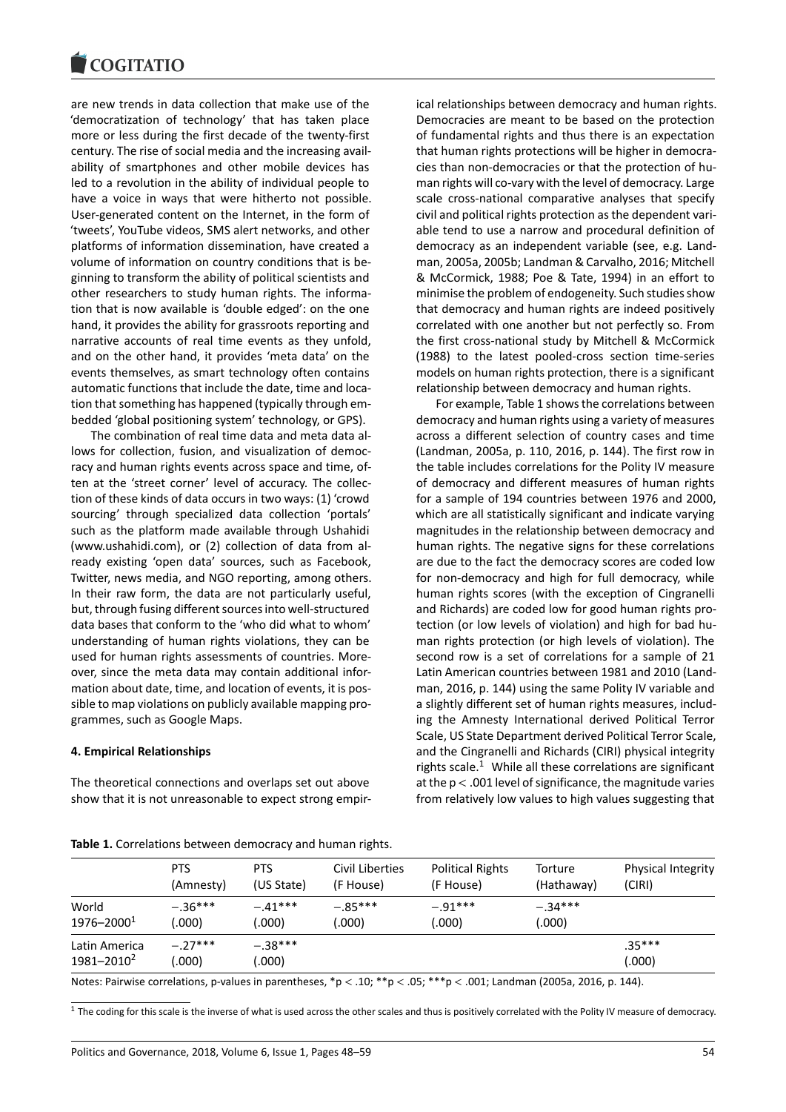#### COULTAIN

are new trends in data collection that make use of the 'democratization of technology' that has taken place more or less during the first decade of the twenty-first century. The rise of social media and the increasing availability of smartphones and other mobile devices has led to a revolution in the ability of individual people to have a voice in ways that were hitherto not possible. User-generated content on the Internet, in the form of 'tweets', YouTube videos, SMS alert networks, and other platforms of information dissemination, have created a volume of information on country conditions that is beginning to transform the ability of political scientists and other researchers to study human rights. The information that is now available is 'double edged': on the one hand, it provides the ability for grassroots reporting and narrative accounts of real time events as they unfold, and on the other hand, it provides 'meta data' on the events themselves, as smart technology often contains automatic functions that include the date, time and location that something has happened (typically through embedded 'global positioning system' technology, or GPS).

The combination of real time data and meta data allows for collection, fusion, and visualization of democracy and human rights events across space and time, often at the 'street corner' level of accuracy. The collection of these kinds of data occurs in two ways: (1) 'crowd sourcing' through specialized data collection 'portals' such as the platform made available through Ushahidi (www.ushahidi.com), or (2) collection of data from already existing 'open data' sources, such as Facebook, Twitter, news media, and NGO reporting, among others. In their raw form, the data are not particularly useful, but, through fusing different sources into well-structured data bases that conform to the 'who did what to whom' understanding of human rights violations, they can be used for human rights assessments of countries. Moreover, since the meta data may contain additional information about date, time, and location of events, it is possible to map violations on publicly available mapping programmes, such as Google Maps.

#### **4. Empirical Relationships**

The theoretical connections and overlaps set out above show that it is not unreasonable to expect strong empirical relationships between democracy and human rights. Democracies are meant to be based on the protection of fundamental rights and thus there is an expectation that human rights protections will be higher in democracies than non-democracies or that the protection of human rights will co-vary with the level of democracy. Large scale cross-national comparative analyses that specify civil and political rights protection as the dependent variable tend to use a narrow and procedural definition of democracy as an independent variable (see, e.g. Landman, 2005a, 2005b; Landman & Carvalho, 2016; Mitchell & McCormick, 1988; Poe & Tate, 1994) in an effort to minimise the problem of endogeneity. Such studies show that democracy and human rights are indeed positively correlated with one another but not perfectly so. From the first cross-national study by Mitchell & McCormick (1988) to the latest pooled-cross section time-series models on human rights protection, there is a significant relationship between democracy and human rights.

For example, Table 1 shows the correlations between democracy and human rights using a variety of measures across a different selection of country cases and time (Landman, 2005a, p. 110, 2016, p. 144). The first row in the table includes correlations for the Polity IV measure of democracy and different measures of human rights for a sample of 194 countries between 1976 and 2000, which are all statistically significant and indicate varying magnitudes in the relationship between democracy and human rights. The negative signs for these correlations are due to the fact the democracy scores are coded low for non-democracy and high for full democracy, while human rights scores (with the exception of Cingranelli and Richards) are coded low for good human rights protection (or low levels of violation) and high for bad human rights protection (or high levels of violation). The second row is a set of correlations for a sample of 21 Latin American countries between 1981 and 2010 (Landman, 2016, p. 144) using the same Polity IV variable and a slightly different set of human rights measures, including the Amnesty International derived Political Terror Scale, US State Department derived Political Terror Scale, and the Cingranelli and Richards (CIRI) physical integrity rights scale.<sup>1</sup> While all these correlations are significant at the p < .001 level of significance, the magnitude varies from relatively low values to high values suggesting that

|                                         | <b>PTS</b>          | <b>PTS</b>         | Civil Liberties | <b>Political Rights</b> | Torture    | Physical Integrity |
|-----------------------------------------|---------------------|--------------------|-----------------|-------------------------|------------|--------------------|
|                                         | (Amnesty)           | (US State)         | (F House)       | (F House)               | (Hathaway) | (CIRI)             |
| World                                   | $-.36***$           | $-.41***$          | $-.85***$       | $-.91***$               | $-.34***$  |                    |
| $1976 - 20001$                          | (.000)              | .000)              | 000             | 000                     | .000)      |                    |
| Latin America<br>1981-2010 <sup>2</sup> | $-.27***$<br>(.000) | $-.38***$<br>.000) |                 |                         |            | $.35***$<br>(.000) |

**Table 1.** Correlations between democracy and human rights.

Notes: Pairwise correlations, p-values in parentheses,  $*p < .00; **p < .05; ***p < .001;$  Landman (2005a, 2016, p. 144).

 $1$  The coding for this scale is the inverse of what is used across the other scales and thus is positively correlated with the Polity IV measure of democracy.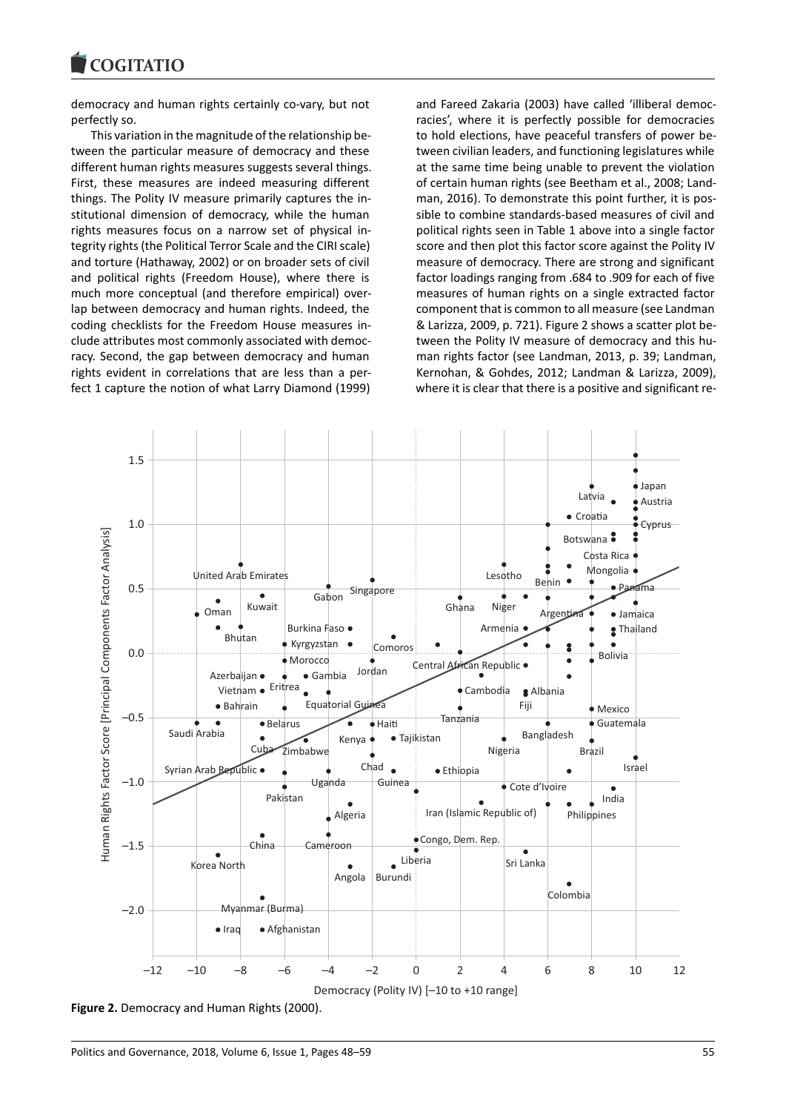democracy and human rights certainly co-vary, but not perfectly so.

This variation in the magnitude of the relationship between the particular measure of democracy and these different human rights measures suggests several things. First, these measures are indeed measuring different things. The Polity IV measure primarily captures the institutional dimension of democracy, while the human rights measures focus on a narrow set of physical integrity rights (the Political Terror Scale and the CIRI scale) and torture (Hathaway, 2002) or on broader sets of civil and political rights (Freedom House), where there is much more conceptual (and therefore empirical) overlap between democracy and human rights. Indeed, the coding checklists for the Freedom House measures include attributes most commonly associated with democracy. Second, the gap between democracy and human rights evident in correlations that are less than a perfect 1 capture the notion of what Larry Diamond (1999) and Fareed Zakaria (2003) have called 'illiberal democracies', where it is perfectly possible for democracies to hold elections, have peaceful transfers of power between civilian leaders, and functioning legislatures while at the same time being unable to prevent the violation of certain human rights (see Beetham et al., 2008; Landman, 2016). To demonstrate this point further, it is possible to combine standards-based measures of civil and political rights seen in Table 1 above into a single factor score and then plot this factor score against the Polity IV measure of democracy. There are strong and significant factor loadings ranging from .684 to .909 for each of five measures of human rights on a single extracted factor component that is common to all measure (see Landman & Larizza, 2009, p. 721). Figure 2 shows a scatter plot between the Polity IV measure of democracy and this human rights factor (see Landman, 2013, p. 39; Landman, Kernohan, & Gohdes, 2012; Landman & Larizza, 2009), where it is clear that there is a positive and significant re-



**Figure 2.** Democracy and Human Rights (2000).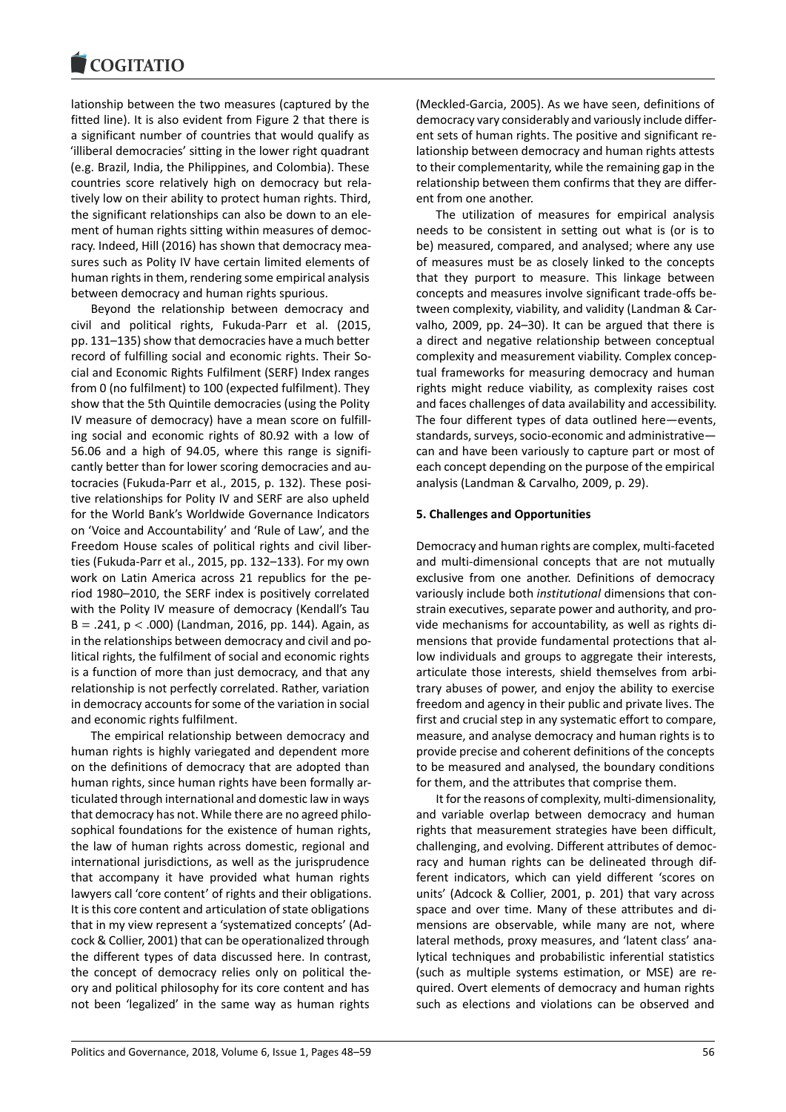lationship between the two measures (captured by the fitted line). It is also evident from Figure 2 that there is a significant number of countries that would qualify as 'illiberal democracies' sitting in the lower right quadrant (e.g. Brazil, India, the Philippines, and Colombia). These countries score relatively high on democracy but relatively low on their ability to protect human rights. Third, the significant relationships can also be down to an element of human rights sitting within measures of democracy. Indeed, Hill (2016) has shown that democracy measures such as Polity IV have certain limited elements of human rights in them, rendering some empirical analysis between democracy and human rights spurious.

Beyond the relationship between democracy and civil and political rights, Fukuda-Parr et al. (2015, pp. 131–135) show that democracies have a much better record of fulfilling social and economic rights. Their Social and Economic Rights Fulfilment (SERF) Index ranges from 0 (no fulfilment) to 100 (expected fulfilment). They show that the 5th Quintile democracies (using the Polity IV measure of democracy) have a mean score on fulfilling social and economic rights of 80.92 with a low of 56.06 and a high of 94.05, where this range is significantly better than for lower scoring democracies and autocracies (Fukuda-Parr et al., 2015, p. 132). These positive relationships for Polity IV and SERF are also upheld for the World Bank's Worldwide Governance Indicators on 'Voice and Accountability' and 'Rule of Law', and the Freedom House scales of political rights and civil liberties (Fukuda-Parr et al., 2015, pp. 132–133). For my own work on Latin America across 21 republics for the period 1980–2010, the SERF index is positively correlated with the Polity IV measure of democracy (Kendall's Tau  $B = .241$ ,  $p < .000$ ) (Landman, 2016, pp. 144). Again, as in the relationships between democracy and civil and political rights, the fulfilment of social and economic rights is a function of more than just democracy, and that any relationship is not perfectly correlated. Rather, variation in democracy accounts for some of the variation in social and economic rights fulfilment.

The empirical relationship between democracy and human rights is highly variegated and dependent more on the definitions of democracy that are adopted than human rights, since human rights have been formally articulated through international and domestic law in ways that democracy has not. While there are no agreed philosophical foundations for the existence of human rights, the law of human rights across domestic, regional and international jurisdictions, as well as the jurisprudence that accompany it have provided what human rights lawyers call 'core content' of rights and their obligations. It is this core content and articulation of state obligations that in my view represent a 'systematized concepts' (Adcock & Collier, 2001) that can be operationalized through the different types of data discussed here. In contrast, the concept of democracy relies only on political theory and political philosophy for its core content and has not been 'legalized' in the same way as human rights

(Meckled-Garcia, 2005). As we have seen, definitions of democracy vary considerably and variously include different sets of human rights. The positive and significant relationship between democracy and human rights attests to their complementarity, while the remaining gap in the relationship between them confirms that they are different from one another.

The utilization of measures for empirical analysis needs to be consistent in setting out what is (or is to be) measured, compared, and analysed; where any use of measures must be as closely linked to the concepts that they purport to measure. This linkage between concepts and measures involve significant trade-offs between complexity, viability, and validity (Landman & Carvalho, 2009, pp. 24–30). It can be argued that there is a direct and negative relationship between conceptual complexity and measurement viability. Complex conceptual frameworks for measuring democracy and human rights might reduce viability, as complexity raises cost and faces challenges of data availability and accessibility. The four different types of data outlined here—events, standards, surveys, socio-economic and administrative can and have been variously to capture part or most of each concept depending on the purpose of the empirical analysis (Landman & Carvalho, 2009, p. 29).

#### **5. Challenges and Opportunities**

Democracy and human rights are complex, multi-faceted and multi-dimensional concepts that are not mutually exclusive from one another. Definitions of democracy variously include both *institutional* dimensions that constrain executives, separate power and authority, and provide mechanisms for accountability, as well as rights dimensions that provide fundamental protections that allow individuals and groups to aggregate their interests, articulate those interests, shield themselves from arbitrary abuses of power, and enjoy the ability to exercise freedom and agency in their public and private lives. The first and crucial step in any systematic effort to compare, measure, and analyse democracy and human rights is to provide precise and coherent definitions of the concepts to be measured and analysed, the boundary conditions for them, and the attributes that comprise them.

It for the reasons of complexity, multi-dimensionality, and variable overlap between democracy and human rights that measurement strategies have been difficult, challenging, and evolving. Different attributes of democracy and human rights can be delineated through different indicators, which can yield different 'scores on units' (Adcock & Collier, 2001, p. 201) that vary across space and over time. Many of these attributes and dimensions are observable, while many are not, where lateral methods, proxy measures, and 'latent class' analytical techniques and probabilistic inferential statistics (such as multiple systems estimation, or MSE) are required. Overt elements of democracy and human rights such as elections and violations can be observed and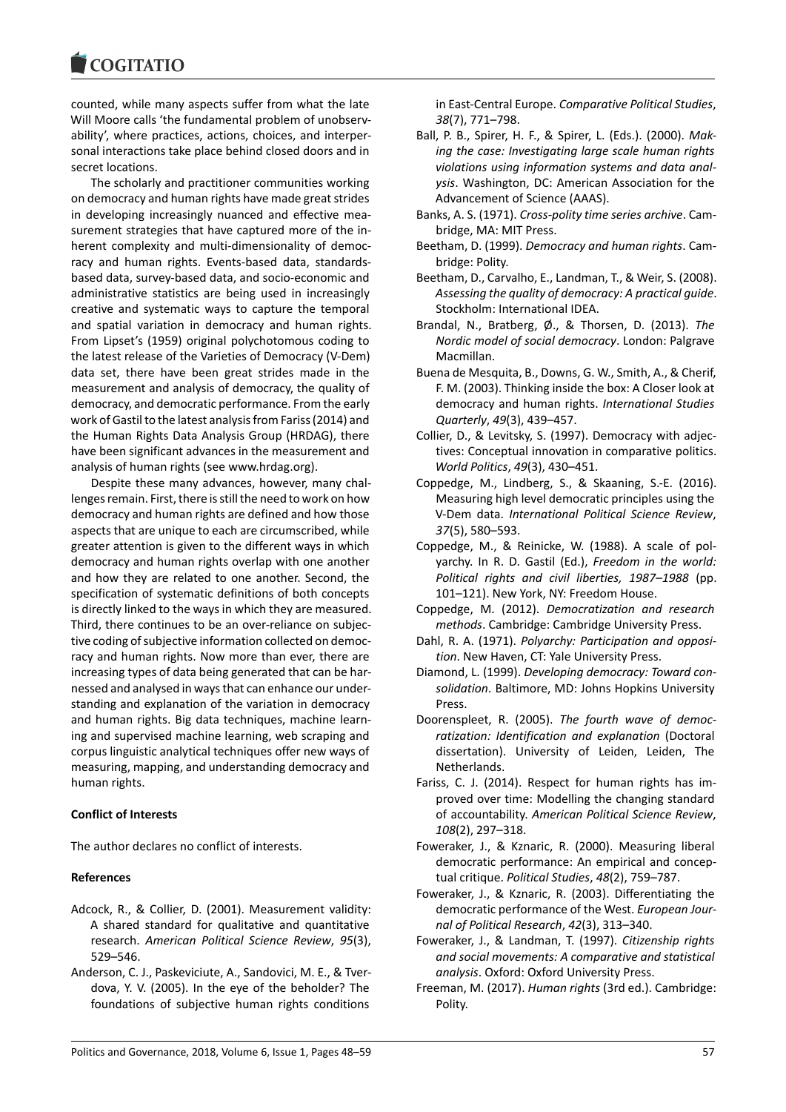counted, while many aspects suffer from what the late Will Moore calls 'the fundamental problem of unobservability', where practices, actions, choices, and interpersonal interactions take place behind closed doors and in secret locations.

The scholarly and practitioner communities working on democracy and human rights have made great strides in developing increasingly nuanced and effective measurement strategies that have captured more of the inherent complexity and multi-dimensionality of democracy and human rights. Events-based data, standardsbased data, survey-based data, and socio-economic and administrative statistics are being used in increasingly creative and systematic ways to capture the temporal and spatial variation in democracy and human rights. From Lipset's (1959) original polychotomous coding to the latest release of the Varieties of Democracy (V-Dem) data set, there have been great strides made in the measurement and analysis of democracy, the quality of democracy, and democratic performance. From the early work of Gastil to the latest analysis from Fariss (2014) and the Human Rights Data Analysis Group (HRDAG), there have been significant advances in the measurement and analysis of human rights (see www.hrdag.org).

Despite these many advances, however, many challenges remain. First, there is still the need to work on how democracy and human rights are defined and how those aspects that are unique to each are circumscribed, while greater attention is given to the different ways in which democracy and human rights overlap with one another and how they are related to one another. Second, the specification of systematic definitions of both concepts is directly linked to the ways in which they are measured. Third, there continues to be an over-reliance on subjective coding of subjective information collected on democracy and human rights. Now more than ever, there are increasing types of data being generated that can be harnessed and analysed in ways that can enhance our understanding and explanation of the variation in democracy and human rights. Big data techniques, machine learning and supervised machine learning, web scraping and corpus linguistic analytical techniques offer new ways of measuring, mapping, and understanding democracy and human rights.

# **Conflict of Interests**

The author declares no conflict of interests.

### **References**

- Adcock, R., & Collier, D. (2001). Measurement validity: A shared standard for qualitative and quantitative research. *American Political Science Review*, *95*(3), 529–546.
- Anderson, C. J., Paskeviciute, A., Sandovici, M. E., & Tverdova, Y. V. (2005). In the eye of the beholder? The foundations of subjective human rights conditions

in East-Central Europe. *Comparative Political Studies*, *38*(7), 771–798.

- Ball, P. B., Spirer, H. F., & Spirer, L. (Eds.). (2000). *Making the case: Investigating large scale human rights violations using information systems and data analysis*. Washington, DC: American Association for the Advancement of Science (AAAS).
- Banks, A. S. (1971). *Cross-polity time series archive*. Cambridge, MA: MIT Press.
- Beetham, D. (1999). *Democracy and human rights*. Cambridge: Polity.
- Beetham, D., Carvalho, E., Landman, T., & Weir, S. (2008). *Assessing the quality of democracy: A practical guide*. Stockholm: International IDEA.
- Brandal, N., Bratberg, Ø., & Thorsen, D. (2013). *The Nordic model of social democracy*. London: Palgrave Macmillan.
- Buena de Mesquita, B., Downs, G. W., Smith, A., & Cherif, F. M. (2003). Thinking inside the box: A Closer look at democracy and human rights. *International Studies Quarterly*, *49*(3), 439–457.
- Collier, D., & Levitsky, S. (1997). Democracy with adjectives: Conceptual innovation in comparative politics. *World Politics*, *49*(3), 430–451.
- Coppedge, M., Lindberg, S., & Skaaning, S.-E. (2016). Measuring high level democratic principles using the V-Dem data. *International Political Science Review*, *37*(5), 580–593.
- Coppedge, M., & Reinicke, W. (1988). A scale of polyarchy. In R. D. Gastil (Ed.), *Freedom in the world: Political rights and civil liberties, 1987–1988* (pp. 101–121). New York, NY: Freedom House.
- Coppedge, M. (2012). *Democratization and research methods*. Cambridge: Cambridge University Press.
- Dahl, R. A. (1971). *Polyarchy: Participation and opposition*. New Haven, CT: Yale University Press.
- Diamond, L. (1999). *Developing democracy: Toward consolidation*. Baltimore, MD: Johns Hopkins University Press.
- Doorenspleet, R. (2005). *The fourth wave of democratization: Identification and explanation* (Doctoral dissertation). University of Leiden, Leiden, The Netherlands.
- Fariss, C. J. (2014). Respect for human rights has improved over time: Modelling the changing standard of accountability. *American Political Science Review*, *108*(2), 297–318.
- Foweraker, J., & Kznaric, R. (2000). Measuring liberal democratic performance: An empirical and conceptual critique. *Political Studies*, *48*(2), 759–787.
- Foweraker, J., & Kznaric, R. (2003). Differentiating the democratic performance of the West. *European Journal of Political Research*, *42*(3), 313–340.
- Foweraker, J., & Landman, T. (1997). *Citizenship rights and social movements: A comparative and statistical analysis*. Oxford: Oxford University Press.
- Freeman, M. (2017). *Human rights* (3rd ed.). Cambridge: Polity.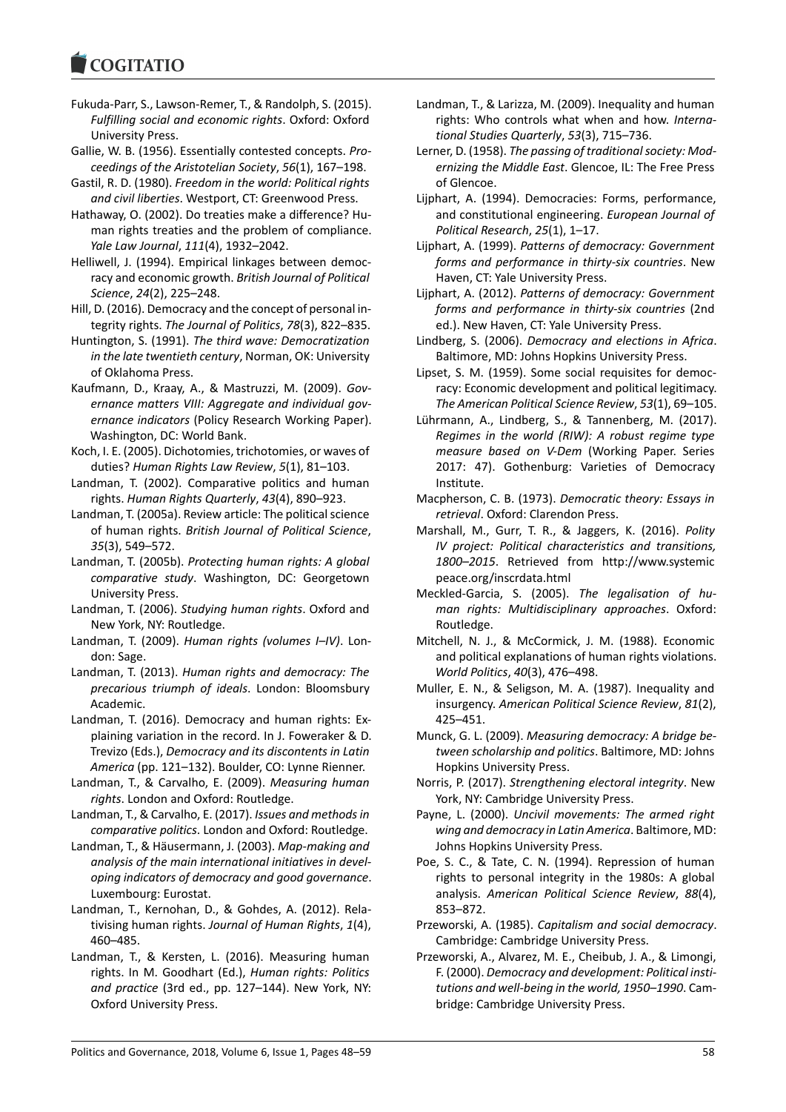#### **COMMITMENT**

- Fukuda-Parr, S., Lawson-Remer, T., & Randolph, S. (2015). *Fulfilling social and economic rights*. Oxford: Oxford University Press.
- Gallie, W. B. (1956). Essentially contested concepts. *Proceedings of the Aristotelian Society*, *56*(1), 167–198.
- Gastil, R. D. (1980). *Freedom in the world: Political rights and civil liberties*. Westport, CT: Greenwood Press.
- Hathaway, O. (2002). Do treaties make a difference? Human rights treaties and the problem of compliance. *Yale Law Journal*, *111*(4), 1932–2042.
- Helliwell, J. (1994). Empirical linkages between democracy and economic growth. *British Journal of Political Science*, *24*(2), 225–248.
- Hill, D. (2016). Democracy and the concept of personal integrity rights. *The Journal of Politics*, *78*(3), 822–835.
- Huntington, S. (1991). *The third wave: Democratization in the late twentieth century*, Norman, OK: University of Oklahoma Press.
- Kaufmann, D., Kraay, A., & Mastruzzi, M. (2009). *Governance matters VIII: Aggregate and individual governance indicators* (Policy Research Working Paper). Washington, DC: World Bank.
- Koch, I. E. (2005). Dichotomies, trichotomies, or waves of duties? *Human Rights Law Review*, *5*(1), 81–103.
- Landman, T. (2002). Comparative politics and human rights. *Human Rights Quarterly*, *43*(4), 890–923.
- Landman, T. (2005a). Review article: The political science of human rights. *British Journal of Political Science*, *35*(3), 549–572.
- Landman, T. (2005b). *Protecting human rights: A global comparative study*. Washington, DC: Georgetown University Press.
- Landman, T. (2006). *Studying human rights*. Oxford and New York, NY: Routledge.
- Landman, T. (2009). *Human rights (volumes I–IV)*. London: Sage.
- Landman, T. (2013). *Human rights and democracy: The precarious triumph of ideals*. London: Bloomsbury Academic.
- Landman, T. (2016). Democracy and human rights: Explaining variation in the record. In J. Foweraker & D. Trevizo (Eds.), *Democracy and its discontents in Latin America* (pp. 121–132). Boulder, CO: Lynne Rienner.
- Landman, T., & Carvalho, E. (2009). *Measuring human rights*. London and Oxford: Routledge.
- Landman, T., & Carvalho, E. (2017). *Issues and methods in comparative politics*. London and Oxford: Routledge.
- Landman, T., & Häusermann, J. (2003). *Map-making and analysis of the main international initiatives in developing indicators of democracy and good governance*. Luxembourg: Eurostat.
- Landman, T., Kernohan, D., & Gohdes, A. (2012). Relativising human rights. *Journal of Human Rights*, *1*(4), 460–485.
- Landman, T., & Kersten, L. (2016). Measuring human rights. In M. Goodhart (Ed.), *Human rights: Politics and practice* (3rd ed., pp. 127–144). New York, NY: Oxford University Press.
- Landman, T., & Larizza, M. (2009). Inequality and human rights: Who controls what when and how. *International Studies Quarterly*, *53*(3), 715–736.
- Lerner, D. (1958). *The passing of traditional society: Modernizing the Middle East*. Glencoe, IL: The Free Press of Glencoe.
- Lijphart, A. (1994). Democracies: Forms, performance, and constitutional engineering. *European Journal of Political Research*, *25*(1), 1–17.
- Lijphart, A. (1999). *Patterns of democracy: Government forms and performance in thirty-six countries*. New Haven, CT: Yale University Press.
- Lijphart, A. (2012). *Patterns of democracy: Government forms and performance in thirty-six countries* (2nd ed.). New Haven, CT: Yale University Press.
- Lindberg, S. (2006). *Democracy and elections in Africa*. Baltimore, MD: Johns Hopkins University Press.
- Lipset, S. M. (1959). Some social requisites for democracy: Economic development and political legitimacy. *The American Political Science Review*, *53*(1), 69–105.
- Lührmann, A., Lindberg, S., & Tannenberg, M. (2017). *Regimes in the world (RIW): A robust regime type measure based on V-Dem* (Working Paper. Series 2017: 47). Gothenburg: Varieties of Democracy Institute.
- Macpherson, C. B. (1973). *Democratic theory: Essays in retrieval*. Oxford: Clarendon Press.
- Marshall, M., Gurr, T. R., & Jaggers, K. (2016). *Polity IV project: Political characteristics and transitions, 1800–2015*. Retrieved from http://www.systemic peace.org/inscrdata.html
- Meckled-Garcia, S. (2005). *The legalisation of human rights: Multidisciplinary approaches*. Oxford: Routledge.
- Mitchell, N. J., & McCormick, J. M. (1988). Economic and political explanations of human rights violations. *World Politics*, *40*(3), 476–498.
- Muller, E. N., & Seligson, M. A. (1987). Inequality and insurgency. *American Political Science Review*, *81*(2), 425–451.
- Munck, G. L. (2009). *Measuring democracy: A bridge between scholarship and politics*. Baltimore, MD: Johns Hopkins University Press.
- Norris, P. (2017). *Strengthening electoral integrity*. New York, NY: Cambridge University Press.
- Payne, L. (2000). *Uncivil movements: The armed right wing and democracy in Latin America*. Baltimore, MD: Johns Hopkins University Press.
- Poe, S. C., & Tate, C. N. (1994). Repression of human rights to personal integrity in the 1980s: A global analysis. *American Political Science Review*, *88*(4), 853–872.
- Przeworski, A. (1985). *Capitalism and social democracy*. Cambridge: Cambridge University Press.
- Przeworski, A., Alvarez, M. E., Cheibub, J. A., & Limongi, F. (2000). *Democracy and development: Political institutions and well-being in the world, 1950–1990*. Cambridge: Cambridge University Press.